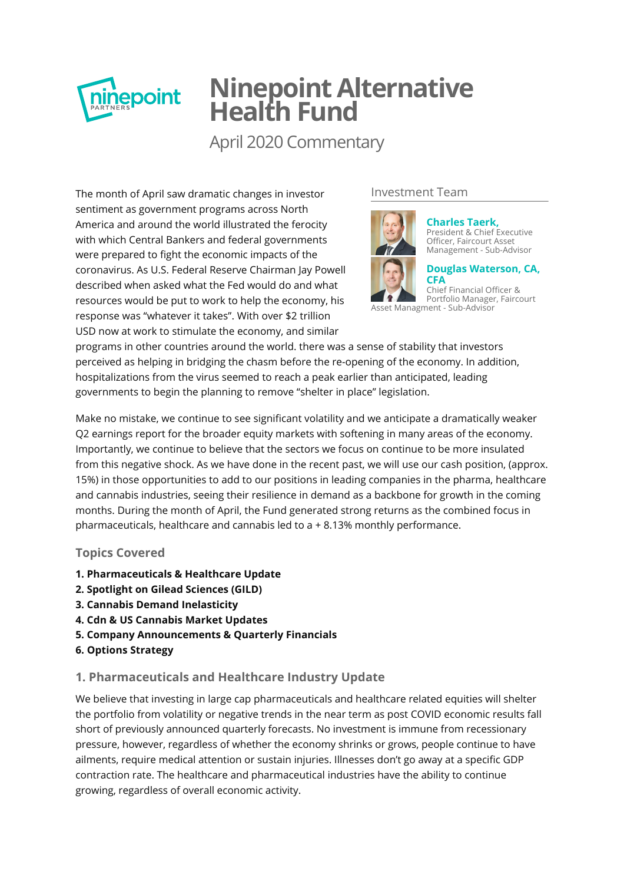

# **Ninepoint Alternative Health Fund**

April 2020 Commentary

The month of April saw dramatic changes in investor sentiment as government programs across North America and around the world illustrated the ferocity with which Central Bankers and federal governments were prepared to fight the economic impacts of the coronavirus. As U.S. Federal Reserve Chairman Jay Powell described when asked what the Fed would do and what resources would be put to work to help the economy, his response was "whatever it takes". With over \$2 trillion USD now at work to stimulate the economy, and similar

# Investment Team



**Charles Taerk,** [President & Chief Executive](http://ninepoint.com/about-ninepoint/leadership/investment-team/ninepoint/charles-taerk/) Officer, Faircourt Asset Management - Sub-Advisor

**[Douglas Waterson, CA,](http://ninepoint.com/about-ninepoint/leadership/investment-team/ninepoint/douglas-waterson/) CFA**

Chief Financial Officer & Portfolio Manager, Faircourt Asset Managment - Sub-Advisor

programs in other countries around the world. there was a sense of stability that investors perceived as helping in bridging the chasm before the re-opening of the economy. In addition, hospitalizations from the virus seemed to reach a peak earlier than anticipated, leading governments to begin the planning to remove "shelter in place" legislation.

Make no mistake, we continue to see significant volatility and we anticipate a dramatically weaker Q2 earnings report for the broader equity markets with softening in many areas of the economy. Importantly, we continue to believe that the sectors we focus on continue to be more insulated from this negative shock. As we have done in the recent past, we will use our cash position, (approx. 15%) in those opportunities to add to our positions in leading companies in the pharma, healthcare and cannabis industries, seeing their resilience in demand as a backbone for growth in the coming months. During the month of April, the Fund generated strong returns as the combined focus in pharmaceuticals, healthcare and cannabis led to a + 8.13% monthly performance.

## **Topics Covered**

- **1. Pharmaceuticals & Healthcare Update**
- **2. Spotlight on Gilead Sciences (GILD)**
- **3. Cannabis Demand Inelasticity**
- **4. Cdn & US Cannabis Market Updates**
- **5. Company Announcements & Quarterly Financials**
- **6. Options Strategy**

## **1. Pharmaceuticals and Healthcare Industry Update**

We believe that investing in large cap pharmaceuticals and healthcare related equities will shelter the portfolio from volatility or negative trends in the near term as post COVID economic results fall short of previously announced quarterly forecasts. No investment is immune from recessionary pressure, however, regardless of whether the economy shrinks or grows, people continue to have ailments, require medical attention or sustain injuries. Illnesses don't go away at a specific GDP contraction rate. The healthcare and pharmaceutical industries have the ability to continue growing, regardless of overall economic activity.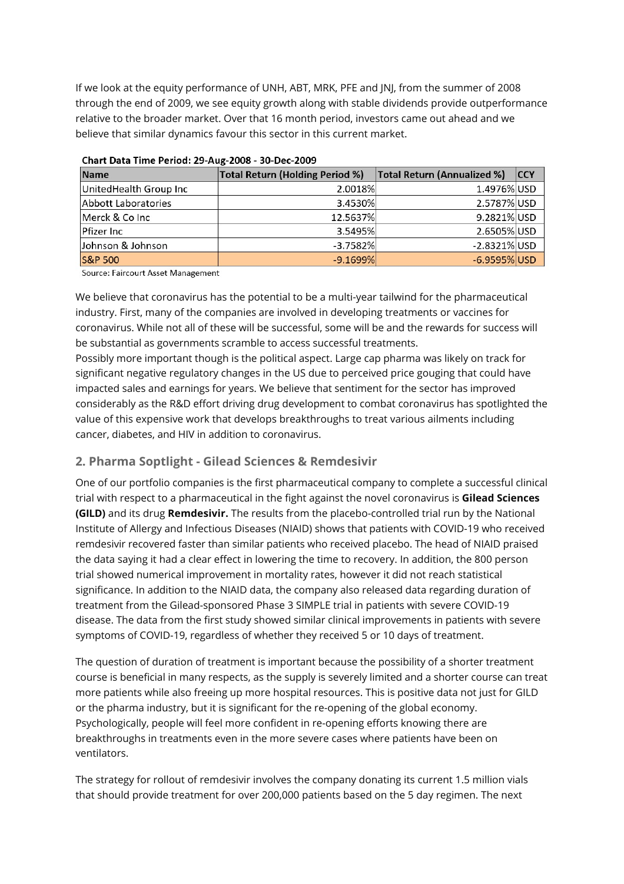If we look at the equity performance of UNH, ABT, MRK, PFE and JNJ, from the summer of 2008 through the end of 2009, we see equity growth along with stable dividends provide outperformance relative to the broader market. Over that 16 month period, investors came out ahead and we believe that similar dynamics favour this sector in this current market.

| <b>Name</b>                | <b>Total Return (Holding Period %)</b> | Total Return (Annualized %) | <b>CCY</b> |  |  |  |  |  |  |
|----------------------------|----------------------------------------|-----------------------------|------------|--|--|--|--|--|--|
| UnitedHealth Group Inc     | 2.0018%                                | 1.4976% USD                 |            |  |  |  |  |  |  |
| <b>Abbott Laboratories</b> | 3.4530%                                | 2.5787% USD                 |            |  |  |  |  |  |  |
| Merck & Co Inc             | 12.5637%                               | 9.2821% USD                 |            |  |  |  |  |  |  |
| Pfizer Inc                 | 3.5495%                                | 2.6505% USD                 |            |  |  |  |  |  |  |
| Johnson & Johnson          | $-3.7582%$                             | $-2.8321\%$ USD             |            |  |  |  |  |  |  |
| <b>S&amp;P 500</b>         | $-9.1699\%$                            | $-6.9595\%$ USD             |            |  |  |  |  |  |  |

Chart Data Time Period: 29-Aug-2008 - 30-Dec-2009

Source: Faircourt Asset Management

We believe that coronavirus has the potential to be a multi-year tailwind for the pharmaceutical industry. First, many of the companies are involved in developing treatments or vaccines for coronavirus. While not all of these will be successful, some will be and the rewards for success will be substantial as governments scramble to access successful treatments.

Possibly more important though is the political aspect. Large cap pharma was likely on track for significant negative regulatory changes in the US due to perceived price gouging that could have impacted sales and earnings for years. We believe that sentiment for the sector has improved considerably as the R&D effort driving drug development to combat coronavirus has spotlighted the value of this expensive work that develops breakthroughs to treat various ailments including cancer, diabetes, and HIV in addition to coronavirus.

# **2. Pharma Soptlight - Gilead Sciences & Remdesivir**

One of our portfolio companies is the first pharmaceutical company to complete a successful clinical trial with respect to a pharmaceutical in the ght against the novel coronavirus is **Gilead Sciences (GILD)** and its drug **Remdesivir.** The results from the placebo-controlled trial run by the National Institute of Allergy and Infectious Diseases (NIAID) shows that patients with COVID-19 who received remdesivir recovered faster than similar patients who received placebo. The head of NIAID praised the data saying it had a clear effect in lowering the time to recovery. In addition, the 800 person trial showed numerical improvement in mortality rates, however it did not reach statistical significance. In addition to the NIAID data, the company also released data regarding duration of treatment from the Gilead-sponsored Phase 3 SIMPLE trial in patients with severe COVID-19 disease. The data from the first study showed similar clinical improvements in patients with severe symptoms of COVID-19, regardless of whether they received 5 or 10 days of treatment.

The question of duration of treatment is important because the possibility of a shorter treatment course is beneficial in many respects, as the supply is severely limited and a shorter course can treat more patients while also freeing up more hospital resources. This is positive data not just for GILD or the pharma industry, but it is significant for the re-opening of the global economy. Psychologically, people will feel more confident in re-opening efforts knowing there are breakthroughs in treatments even in the more severe cases where patients have been on ventilators.

The strategy for rollout of remdesivir involves the company donating its current 1.5 million vials that should provide treatment for over 200,000 patients based on the 5 day regimen. The next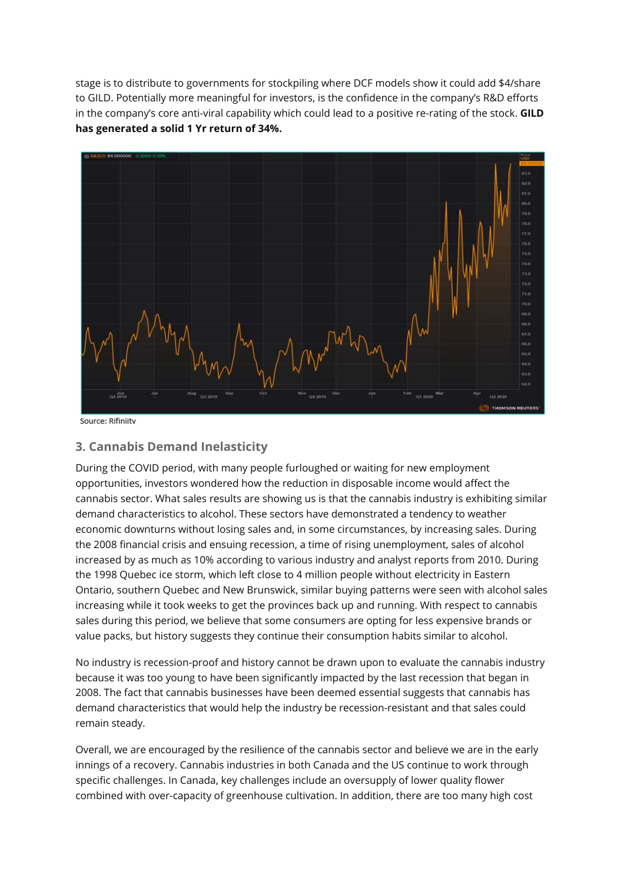stage is to distribute to governments for stockpiling where DCF models show it could add \$4/share to GILD. Potentially more meaningful for investors, is the confidence in the company's R&D efforts in the company's core anti-viral capability which could lead to a positive re-rating of the stock. **GILD has generated a solid 1 Yr return of 34%.**



Source: Rifiniitv

## **3. Cannabis Demand Inelasticity**

During the COVID period, with many people furloughed or waiting for new employment opportunities, investors wondered how the reduction in disposable income would affect the cannabis sector. What sales results are showing us is that the cannabis industry is exhibiting similar demand characteristics to alcohol. These sectors have demonstrated a tendency to weather economic downturns without losing sales and, in some circumstances, by increasing sales. During the 2008 financial crisis and ensuing recession, a time of rising unemployment, sales of alcohol increased by as much as 10% according to various industry and analyst reports from 2010. During the 1998 Quebec ice storm, which left close to 4 million people without electricity in Eastern Ontario, southern Quebec and New Brunswick, similar buying patterns were seen with alcohol sales increasing while it took weeks to get the provinces back up and running. With respect to cannabis sales during this period, we believe that some consumers are opting for less expensive brands or value packs, but history suggests they continue their consumption habits similar to alcohol.

No industry is recession-proof and history cannot be drawn upon to evaluate the cannabis industry because it was too young to have been significantly impacted by the last recession that began in 2008. The fact that cannabis businesses have been deemed essential suggests that cannabis has demand characteristics that would help the industry be recession-resistant and that sales could remain steady.

Overall, we are encouraged by the resilience of the cannabis sector and believe we are in the early innings of a recovery. Cannabis industries in both Canada and the US continue to work through specific challenges. In Canada, key challenges include an oversupply of lower quality flower combined with over-capacity of greenhouse cultivation. In addition, there are too many high cost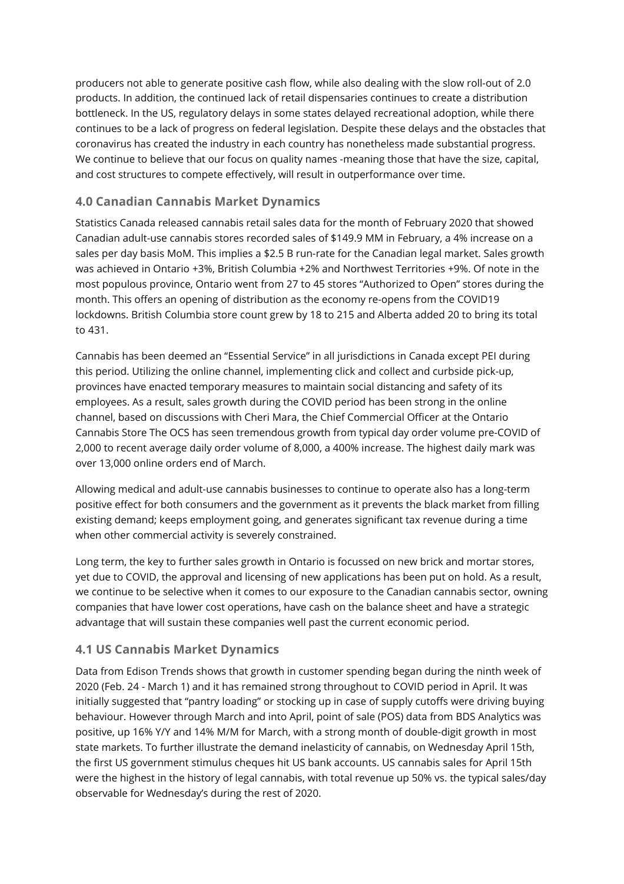producers not able to generate positive cash flow, while also dealing with the slow roll-out of 2.0 products. In addition, the continued lack of retail dispensaries continues to create a distribution bottleneck. In the US, regulatory delays in some states delayed recreational adoption, while there continues to be a lack of progress on federal legislation. Despite these delays and the obstacles that coronavirus has created the industry in each country has nonetheless made substantial progress. We continue to believe that our focus on quality names -meaning those that have the size, capital, and cost structures to compete effectively, will result in outperformance over time.

#### **4.0 Canadian Cannabis Market Dynamics**

Statistics Canada released cannabis retail sales data for the month of February 2020 that showed Canadian adult-use cannabis stores recorded sales of \$149.9 MM in February, a 4% increase on a sales per day basis MoM. This implies a \$2.5 B run-rate for the Canadian legal market. Sales growth was achieved in Ontario +3%, British Columbia +2% and Northwest Territories +9%. Of note in the most populous province, Ontario went from 27 to 45 stores "Authorized to Open" stores during the month. This offers an opening of distribution as the economy re-opens from the COVID19 lockdowns. British Columbia store count grew by 18 to 215 and Alberta added 20 to bring its total to 431.

Cannabis has been deemed an "Essential Service" in all jurisdictions in Canada except PEI during this period. Utilizing the online channel, implementing click and collect and curbside pick-up, provinces have enacted temporary measures to maintain social distancing and safety of its employees. As a result, sales growth during the COVID period has been strong in the online channel, based on discussions with Cheri Mara, the Chief Commercial Officer at the Ontario Cannabis Store The OCS has seen tremendous growth from typical day order volume pre-COVID of 2,000 to recent average daily order volume of 8,000, a 400% increase. The highest daily mark was over 13,000 online orders end of March.

Allowing medical and adult-use cannabis businesses to continue to operate also has a long-term positive effect for both consumers and the government as it prevents the black market from filling existing demand; keeps employment going, and generates significant tax revenue during a time when other commercial activity is severely constrained.

Long term, the key to further sales growth in Ontario is focussed on new brick and mortar stores, yet due to COVID, the approval and licensing of new applications has been put on hold. As a result, we continue to be selective when it comes to our exposure to the Canadian cannabis sector, owning companies that have lower cost operations, have cash on the balance sheet and have a strategic advantage that will sustain these companies well past the current economic period.

## **4.1 US Cannabis Market Dynamics**

Data from Edison Trends shows that growth in customer spending began during the ninth week of 2020 (Feb. 24 - March 1) and it has remained strong throughout to COVID period in April. It was initially suggested that "pantry loading" or stocking up in case of supply cutoffs were driving buying behaviour. However through March and into April, point of sale (POS) data from BDS Analytics was positive, up 16% Y/Y and 14% M/M for March, with a strong month of double-digit growth in most state markets. To further illustrate the demand inelasticity of cannabis, on Wednesday April 15th, the first US government stimulus cheques hit US bank accounts. US cannabis sales for April 15th were the highest in the history of legal cannabis, with total revenue up 50% vs. the typical sales/day observable for Wednesday's during the rest of 2020.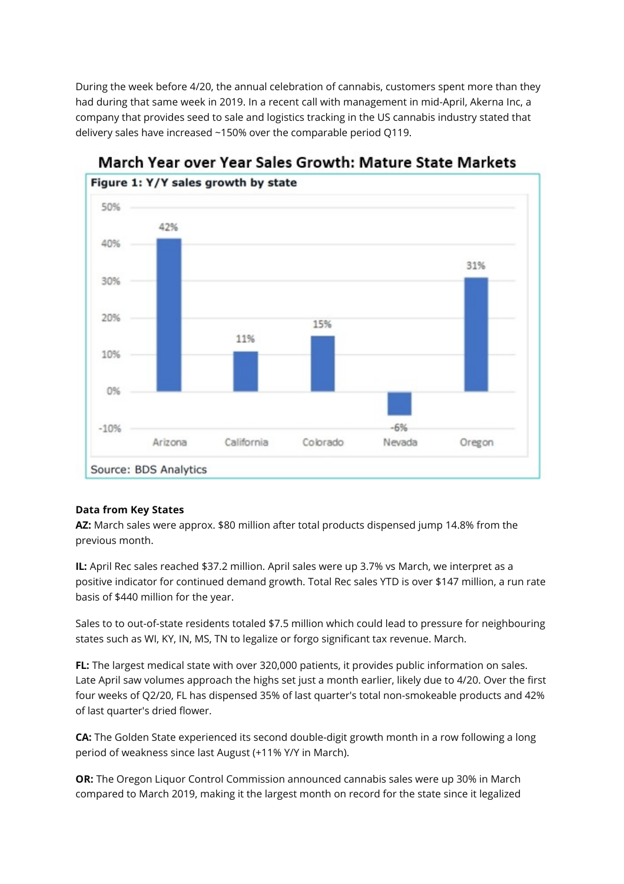During the week before 4/20, the annual celebration of cannabis, customers spent more than they had during that same week in 2019. In a recent call with management in mid-April, Akerna Inc, a company that provides seed to sale and logistics tracking in the US cannabis industry stated that delivery sales have increased ~150% over the comparable period Q119.



# March Year over Year Sales Growth: Mature State Markets

## **Data from Key States**

**AZ:** March sales were approx. \$80 million after total products dispensed jump 14.8% from the previous month.

**IL:** April Rec sales reached \$37.2 million. April sales were up 3.7% vs March, we interpret as a positive indicator for continued demand growth. Total Rec sales YTD is over \$147 million, a run rate basis of \$440 million for the year.

Sales to to out-of-state residents totaled \$7.5 million which could lead to pressure for neighbouring states such as WJ, KY, IN, MS, TN to legalize or forgo significant tax revenue. March.

**FL:** The largest medical state with over 320,000 patients, it provides public information on sales. Late April saw volumes approach the highs set just a month earlier, likely due to 4/20. Over the first four weeks of Q2/20, FL has dispensed 35% of last quarter's total non-smokeable products and 42% of last quarter's dried flower.

**CA:** The Golden State experienced its second double-digit growth month in a row following a long period of weakness since last August (+11% Y/Y in March).

**OR:** The Oregon Liquor Control Commission announced cannabis sales were up 30% in March compared to March 2019, making it the largest month on record for the state since it legalized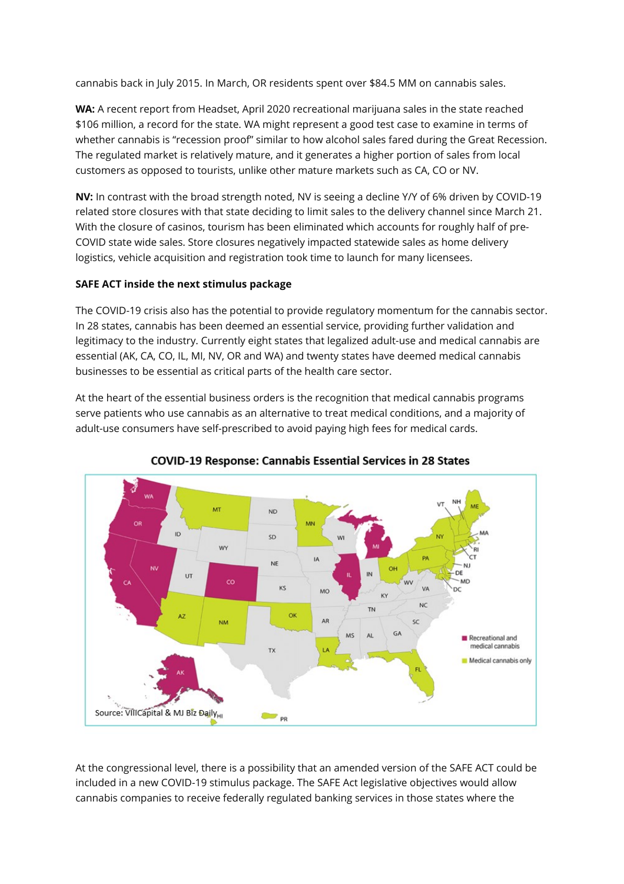cannabis back in July 2015. In March, OR residents spent over \$84.5 MM on cannabis sales.

**WA:** A recent report from Headset, April 2020 recreational marijuana sales in the state reached \$106 million, a record for the state. WA might represent a good test case to examine in terms of whether cannabis is "recession proof" similar to how alcohol sales fared during the Great Recession. The regulated market is relatively mature, and it generates a higher portion of sales from local customers as opposed to tourists, unlike other mature markets such as CA, CO or NV.

**NV:** In contrast with the broad strength noted, NV is seeing a decline Y/Y of 6% driven by COVID-19 related store closures with that state deciding to limit sales to the delivery channel since March 21. With the closure of casinos, tourism has been eliminated which accounts for roughly half of pre-COVID state wide sales. Store closures negatively impacted statewide sales as home delivery logistics, vehicle acquisition and registration took time to launch for many licensees.

#### **SAFE ACT inside the next stimulus package**

The COVID-19 crisis also has the potential to provide regulatory momentum for the cannabis sector. In 28 states, cannabis has been deemed an essential service, providing further validation and legitimacy to the industry. Currently eight states that legalized adult-use and medical cannabis are essential (AK, CA, CO, IL, MI, NV, OR and WA) and twenty states have deemed medical cannabis businesses to be essential as critical parts of the health care sector.

At the heart of the essential business orders is the recognition that medical cannabis programs serve patients who use cannabis as an alternative to treat medical conditions, and a majority of adult-use consumers have self-prescribed to avoid paying high fees for medical cards.





At the congressional level, there is a possibility that an amended version of the SAFE ACT could be included in a new COVID-19 stimulus package. The SAFE Act legislative objectives would allow cannabis companies to receive federally regulated banking services in those states where the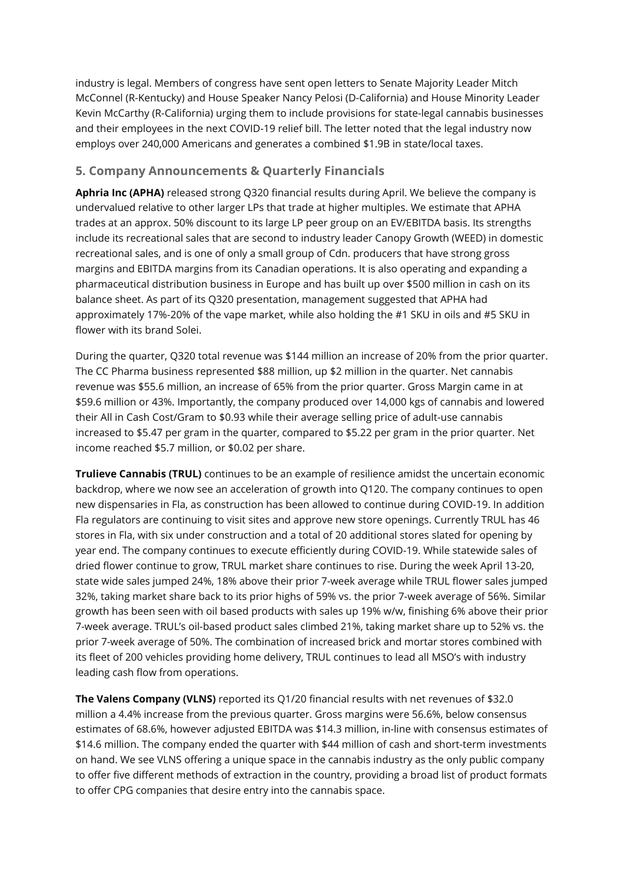industry is legal. Members of congress have sent open letters to Senate Majority Leader Mitch McConnel (R-Kentucky) and House Speaker Nancy Pelosi (D-California) and House Minority Leader Kevin McCarthy (R-California) urging them to include provisions for state-legal cannabis businesses and their employees in the next COVID-19 relief bill. The letter noted that the legal industry now employs over 240,000 Americans and generates a combined \$1.9B in state/local taxes.

# **5. Company Announcements & Quarterly Financials**

**Aphria Inc (APHA)** released strong O320 financial results during April. We believe the company is undervalued relative to other larger LPs that trade at higher multiples. We estimate that APHA trades at an approx. 50% discount to its large LP peer group on an EV/EBITDA basis. Its strengths include its recreational sales that are second to industry leader Canopy Growth (WEED) in domestic recreational sales, and is one of only a small group of Cdn. producers that have strong gross margins and EBITDA margins from its Canadian operations. It is also operating and expanding a pharmaceutical distribution business in Europe and has built up over \$500 million in cash on its balance sheet. As part of its Q320 presentation, management suggested that APHA had approximately 17%-20% of the vape market, while also holding the #1 SKU in oils and #5 SKU in flower with its brand Solei.

During the quarter, Q320 total revenue was \$144 million an increase of 20% from the prior quarter. The CC Pharma business represented \$88 million, up \$2 million in the quarter. Net cannabis revenue was \$55.6 million, an increase of 65% from the prior quarter. Gross Margin came in at \$59.6 million or 43%. Importantly, the company produced over 14,000 kgs of cannabis and lowered their All in Cash Cost/Gram to \$0.93 while their average selling price of adult-use cannabis increased to \$5.47 per gram in the quarter, compared to \$5.22 per gram in the prior quarter. Net income reached \$5.7 million, or \$0.02 per share.

**Trulieve Cannabis (TRUL)** continues to be an example of resilience amidst the uncertain economic backdrop, where we now see an acceleration of growth into Q120. The company continues to open new dispensaries in Fla, as construction has been allowed to continue during COVID-19. In addition Fla regulators are continuing to visit sites and approve new store openings. Currently TRUL has 46 stores in Fla, with six under construction and a total of 20 additional stores slated for opening by year end. The company continues to execute efficiently during COVID-19. While statewide sales of dried flower continue to grow, TRUL market share continues to rise. During the week April 13-20, state wide sales jumped 24%, 18% above their prior 7-week average while TRUL flower sales jumped 32%, taking market share back to its prior highs of 59% vs. the prior 7-week average of 56%. Similar growth has been seen with oil based products with sales up 19% w/w, finishing 6% above their prior 7-week average. TRUL's oil-based product sales climbed 21%, taking market share up to 52% vs. the prior 7-week average of 50%. The combination of increased brick and mortar stores combined with its fleet of 200 vehicles providing home delivery, TRUL continues to lead all MSO's with industry leading cash flow from operations.

**The Valens Company (VLNS)** reported its Q1/20 financial results with net revenues of \$32.0 million a 4.4% increase from the previous quarter. Gross margins were 56.6%, below consensus estimates of 68.6%, however adjusted EBITDA was \$14.3 million, in-line with consensus estimates of \$14.6 million. The company ended the quarter with \$44 million of cash and short-term investments on hand. We see VLNS offering a unique space in the cannabis industry as the only public company to offer five different methods of extraction in the country, providing a broad list of product formats to offer CPG companies that desire entry into the cannabis space.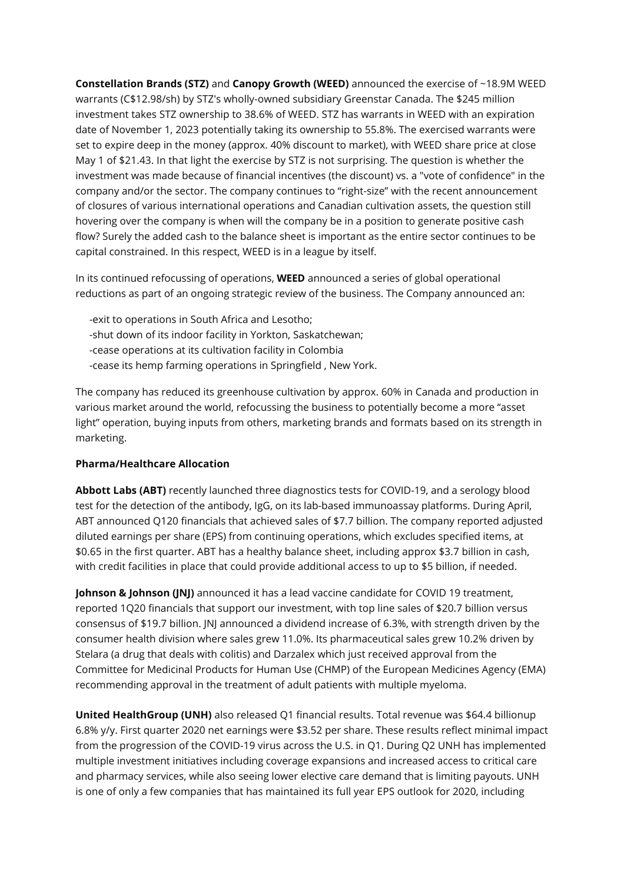**Constellation Brands (STZ)** and **Canopy Growth (WEED)** announced the exercise of ~18.9M WEED warrants (C\$12.98/sh) by STZ's wholly-owned subsidiary Greenstar Canada. The \$245 million investment takes STZ ownership to 38.6% of WEED. STZ has warrants in WEED with an expiration date of November 1, 2023 potentially taking its ownership to 55.8%. The exercised warrants were set to expire deep in the money (approx. 40% discount to market), with WEED share price at close May 1 of \$21.43. In that light the exercise by STZ is not surprising. The question is whether the investment was made because of financial incentives (the discount) vs. a "vote of confidence" in the company and/or the sector. The company continues to "right-size" with the recent announcement of closures of various international operations and Canadian cultivation assets, the question still hovering over the company is when will the company be in a position to generate positive cash flow? Surely the added cash to the balance sheet is important as the entire sector continues to be capital constrained. In this respect, WEED is in a league by itself.

In its continued refocussing of operations, **WEED** announced a series of global operational reductions as part of an ongoing strategic review of the business. The Company announced an:

-exit to operations in South Africa and Lesotho; -shut down of its indoor facility in Yorkton, Saskatchewan; -cease operations at its cultivation facility in Colombia -cease its hemp farming operations in Springfield, New York.

The company has reduced its greenhouse cultivation by approx. 60% in Canada and production in various market around the world, refocussing the business to potentially become a more "asset light" operation, buying inputs from others, marketing brands and formats based on its strength in marketing.

#### **Pharma/Healthcare Allocation**

**Abbott Labs (ABT)** recently launched three diagnostics tests for COVID-19, and a serology blood test for the detection of the antibody, IgG, on its lab-based immunoassay platforms. During April, ABT announced Q120 financials that achieved sales of \$7.7 billion. The company reported adjusted diluted earnings per share (EPS) from continuing operations, which excludes specified items, at \$0.65 in the first quarter. ABT has a healthy balance sheet, including approx \$3.7 billion in cash, with credit facilities in place that could provide additional access to up to \$5 billion, if needed.

**Johnson & Johnson (JNJ)** announced it has a lead vaccine candidate for COVID 19 treatment, reported 1Q20 financials that support our investment, with top line sales of \$20.7 billion versus consensus of \$19.7 billion. JNJ announced a dividend increase of 6.3%, with strength driven by the consumer health division where sales grew 11.0%. Its pharmaceutical sales grew 10.2% driven by Stelara (a drug that deals with colitis) and Darzalex which just received approval from the Committee for Medicinal Products for Human Use (CHMP) of the European Medicines Agency (EMA) recommending approval in the treatment of adult patients with multiple myeloma.

**United HealthGroup (UNH)** also released Q1 financial results. Total revenue was \$64.4 billionup 6.8% y/y. First quarter 2020 net earnings were \$3.52 per share. These results reflect minimal impact from the progression of the COVID-19 virus across the U.S. in Q1. During Q2 UNH has implemented multiple investment initiatives including coverage expansions and increased access to critical care and pharmacy services, while also seeing lower elective care demand that is limiting payouts. UNH is one of only a few companies that has maintained its full year EPS outlook for 2020, including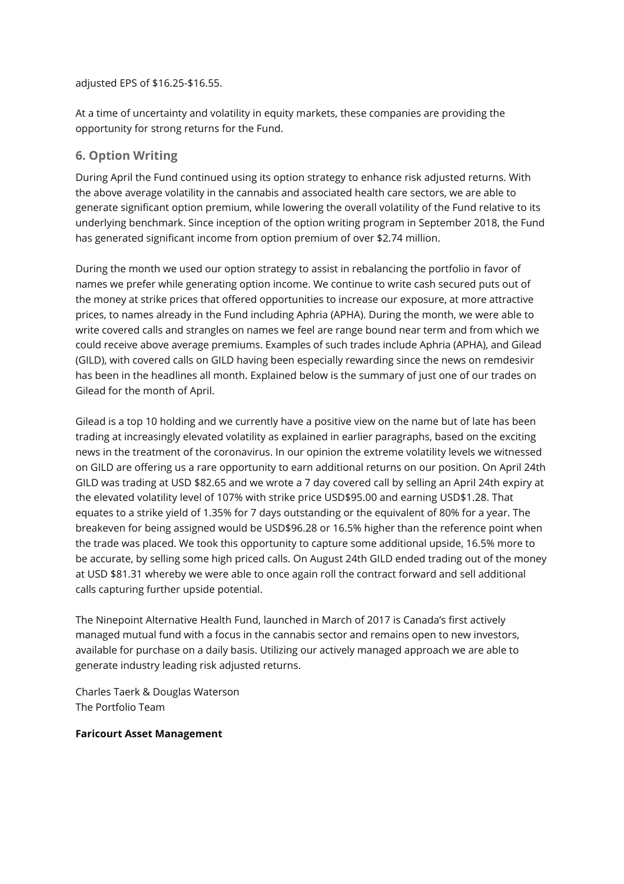adjusted EPS of \$16.25-\$16.55.

At a time of uncertainty and volatility in equity markets, these companies are providing the opportunity for strong returns for the Fund.

#### **6. Option Writing**

During April the Fund continued using its option strategy to enhance risk adjusted returns. With the above average volatility in the cannabis and associated health care sectors, we are able to generate significant option premium, while lowering the overall volatility of the Fund relative to its underlying benchmark. Since inception of the option writing program in September 2018, the Fund has generated significant income from option premium of over \$2.74 million.

During the month we used our option strategy to assist in rebalancing the portfolio in favor of names we prefer while generating option income. We continue to write cash secured puts out of the money at strike prices that offered opportunities to increase our exposure, at more attractive prices, to names already in the Fund including Aphria (APHA). During the month, we were able to write covered calls and strangles on names we feel are range bound near term and from which we could receive above average premiums. Examples of such trades include Aphria (APHA), and Gilead (GILD), with covered calls on GILD having been especially rewarding since the news on remdesivir has been in the headlines all month. Explained below is the summary of just one of our trades on Gilead for the month of April.

Gilead is a top 10 holding and we currently have a positive view on the name but of late has been trading at increasingly elevated volatility as explained in earlier paragraphs, based on the exciting news in the treatment of the coronavirus. In our opinion the extreme volatility levels we witnessed on GILD are offering us a rare opportunity to earn additional returns on our position. On April 24th GILD was trading at USD \$82.65 and we wrote a 7 day covered call by selling an April 24th expiry at the elevated volatility level of 107% with strike price USD\$95.00 and earning USD\$1.28. That equates to a strike yield of 1.35% for 7 days outstanding or the equivalent of 80% for a year. The breakeven for being assigned would be USD\$96.28 or 16.5% higher than the reference point when the trade was placed. We took this opportunity to capture some additional upside, 16.5% more to be accurate, by selling some high priced calls. On August 24th GILD ended trading out of the money at USD \$81.31 whereby we were able to once again roll the contract forward and sell additional calls capturing further upside potential.

The Ninepoint Alternative Health Fund, launched in March of 2017 is Canada's first actively managed mutual fund with a focus in the cannabis sector and remains open to new investors, available for purchase on a daily basis. Utilizing our actively managed approach we are able to generate industry leading risk adjusted returns.

Charles Taerk & Douglas Waterson The Portfolio Team

#### **Faricourt Asset Management**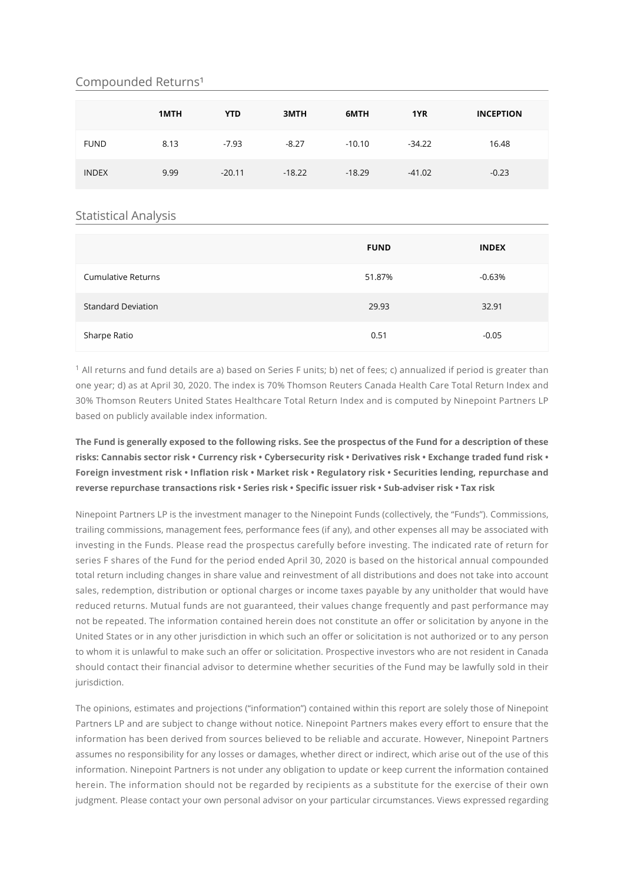#### Compounded Returns<sup>1</sup>

|              | 1MTH | <b>YTD</b> | 3MTH     | 6MTH     | 1YR      | <b>INCEPTION</b> |
|--------------|------|------------|----------|----------|----------|------------------|
| <b>FUND</b>  | 8.13 | $-7.93$    | $-8.27$  | $-10.10$ | $-34.22$ | 16.48            |
| <b>INDEX</b> | 9.99 | $-20.11$   | $-18.22$ | $-18.29$ | $-41.02$ | $-0.23$          |

#### Statistical Analysis

|                           | <b>FUND</b> | <b>INDEX</b> |
|---------------------------|-------------|--------------|
| <b>Cumulative Returns</b> | 51.87%      | $-0.63%$     |
| <b>Standard Deviation</b> | 29.93       | 32.91        |
| Sharpe Ratio              | 0.51        | $-0.05$      |

 $^1$  All returns and fund details are a) based on Series F units; b) net of fees; c) annualized if period is greater than one year; d) as at April 30, 2020. The index is 70% Thomson Reuters Canada Health Care Total Return Index and 30% Thomson Reuters United States Healthcare Total Return Index and is computed by Ninepoint Partners LP based on publicly available index information.

#### **The Fund is generally exposed to the following risks. See the prospectus of the Fund for a description of these risks: Cannabis sector risk • Currency risk • Cybersecurity risk • Derivatives risk • Exchange traded fund risk •** Foreign investment risk • Inflation risk • Market risk • Regulatory risk • Securities lending, repurchase and reverse repurchase transactions risk • Series risk • Specific issuer risk • Sub-adviser risk • Tax risk

Ninepoint Partners LP is the investment manager to the Ninepoint Funds (collectively, the "Funds"). Commissions, trailing commissions, management fees, performance fees (if any), and other expenses all may be associated with investing in the Funds. Please read the prospectus carefully before investing. The indicated rate of return for series F shares of the Fund for the period ended April 30, 2020 is based on the historical annual compounded total return including changes in share value and reinvestment of all distributions and does not take into account sales, redemption, distribution or optional charges or income taxes payable by any unitholder that would have reduced returns. Mutual funds are not guaranteed, their values change frequently and past performance may not be repeated. The information contained herein does not constitute an offer or solicitation by anyone in the United States or in any other jurisdiction in which such an offer or solicitation is not authorized or to any person to whom it is unlawful to make such an offer or solicitation. Prospective investors who are not resident in Canada should contact their financial advisor to determine whether securities of the Fund may be lawfully sold in their jurisdiction.

The opinions, estimates and projections ("information") contained within this report are solely those of Ninepoint Partners LP and are subject to change without notice. Ninepoint Partners makes every effort to ensure that the information has been derived from sources believed to be reliable and accurate. However, Ninepoint Partners assumes no responsibility for any losses or damages, whether direct or indirect, which arise out of the use of this information. Ninepoint Partners is not under any obligation to update or keep current the information contained herein. The information should not be regarded by recipients as a substitute for the exercise of their own judgment. Please contact your own personal advisor on your particular circumstances. Views expressed regarding